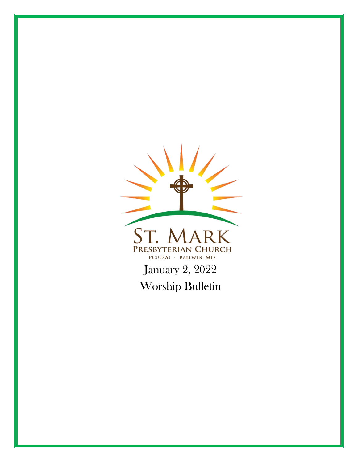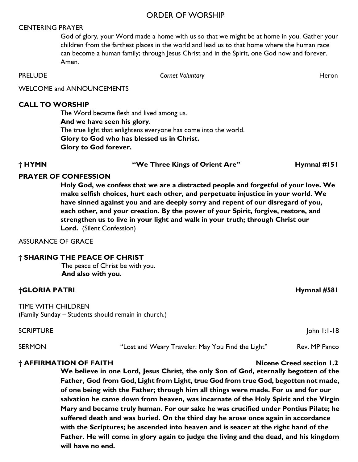#### ORDER OF WORSHIP

#### CENTERING PRAYER

God of glory, your Word made a home with us so that we might be at home in you. Gather your children from the farthest places in the world and lead us to that home where the human race can become a human family; through Jesus Christ and in the Spirit, one God now and forever. Amen.

**PRELUDE Cornet Voluntary Cornet Voluntary Heron** 

WELCOME and ANNOUNCEMENTS

#### **CALL TO WORSHIP**

The Word became flesh and lived among us. **And we have seen his glory**. The true light that enlightens everyone has come into the world. **Glory to God who has blessed us in Christ. Glory to God forever.**

**† HYMN "We Three Kings of Orient Are" Hymnal #151**

#### **PRAYER OF CONFESSION**

**Holy God, we confess that we are a distracted people and forgetful of your love. We make selfish choices, hurt each other, and perpetuate injustice in your world. We have sinned against you and are deeply sorry and repent of our disregard of you, each other, and your creation. By the power of your Spirit, forgive, restore, and strengthen us to live in your light and walk in your truth; through Christ our Lord.** (Silent Confession)

#### ASSURANCE OF GRACE

#### **† SHARING THE PEACE OF CHRIST**

The peace of Christ be with you. **And also with you.**

#### **†GLORIA PATRI Hymnal #581**

TIME WITH CHILDREN (Family Sunday – Students should remain in church.)

SCRIPTURE John 1:1-18

SERMON **EXAMON** "Lost and Weary Traveler: May You Find the Light" Rev. MP Panco

#### **† AFFIRMATION OF FAITH Nicene Creed section 1.2**

**We believe in one Lord, Jesus Christ, the only Son of God, eternally begotten of the Father, God from God, Light from Light, true God from true God, begotten not made, of one being with the Father; through him all things were made. For us and for our salvation he came down from heaven, was incarnate of the Holy Spirit and the Virgin Mary and became truly human. For our sake he was crucified under Pontius Pilate; he suffered death and was buried. On the third day he arose once again in accordance with the Scriptures; he ascended into heaven and is seater at the right hand of the Father. He will come in glory again to judge the living and the dead, and his kingdom will have no end.**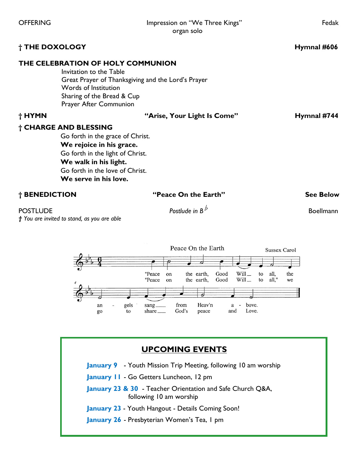| <b>OFFERING</b>                                                |                                                                                                                                                                                                                | Impression on "We Three Kings" | Fedak               |
|----------------------------------------------------------------|----------------------------------------------------------------------------------------------------------------------------------------------------------------------------------------------------------------|--------------------------------|---------------------|
|                                                                |                                                                                                                                                                                                                | organ solo                     |                     |
| † THE DOXOLOGY                                                 |                                                                                                                                                                                                                |                                | Hymnal #606         |
|                                                                | THE CELEBRATION OF HOLY COMMUNION<br>Invitation to the Table<br>Great Prayer of Thanksgiving and the Lord's Prayer<br>Words of Institution<br>Sharing of the Bread & Cup<br>Prayer After Communion             |                                |                     |
| † HYMN                                                         |                                                                                                                                                                                                                | "Arise, Your Light Is Come"    |                     |
|                                                                | † CHARGE AND BLESSING<br>Go forth in the grace of Christ.<br>We rejoice in his grace.<br>Go forth in the light of Christ.<br>We walk in his light.<br>Go forth in the love of Christ.<br>We serve in his love. |                                |                     |
| † BENEDICTION                                                  |                                                                                                                                                                                                                | "Peace On the Earth"           | <b>See Below</b>    |
| <b>POSTLUDE</b><br>† You are invited to stand, as you are able |                                                                                                                                                                                                                | Postlude in $B^b$              | <b>Boellmann</b>    |
|                                                                | $-\rho$                                                                                                                                                                                                        | Peace On the Earth             | <b>Sussex Carol</b> |



# **UPCOMING EVENTS**

**January 9** - Youth Mission Trip Meeting, following 10 am worship

**January 11** - Go Getters Luncheon, 12 pm

**January 23 & 30** - Teacher Orientation and Safe Church Q&A, following 10 am worship

**January 23** - Youth Hangout - Details Coming Soon!

**January 26** - Presbyterian Women's Tea, 1 pm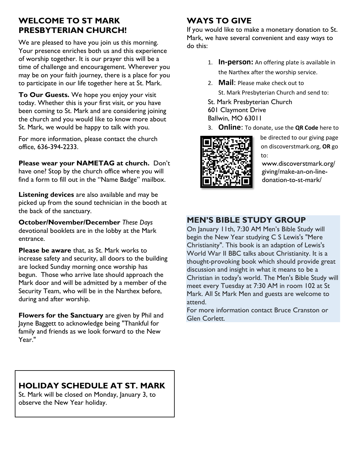## **WELCOME TO ST MARK PRESBYTERIAN CHURCH!**

We are pleased to have you join us this morning. Your presence enriches both us and this experience of worship together. It is our prayer this will be a time of challenge and encouragement. Wherever you may be on your faith journey, there is a place for you to participate in our life together here at St. Mark.

**To Our Guests.** We hope you enjoy your visit today. Whether this is your first visit, or you have been coming to St. Mark and are considering joining the church and you would like to know more about St. Mark, we would be happy to talk with you.

For more information, please contact the church office, 636-394-2233.

**Please wear your NAMETAG at church.** Don't have one? Stop by the church office where you will find a form to fill out in the "Name Badge" mailbox.

**Listening devices** are also available and may be picked up from the sound technician in the booth at the back of the sanctuary.

**October/November/December** *These Days* devotional booklets are in the lobby at the Mark entrance.

**Please be aware** that, as St. Mark works to increase safety and security, all doors to the building are locked Sunday morning once worship has begun. Those who arrive late should approach the Mark door and will be admitted by a member of the Security Team, who will be in the Narthex before, during and after worship.

**Flowers for the Sanctuary** are given by Phil and Jayne Baggett to acknowledge being "Thankful for family and friends as we look forward to the New Year."

# **WAYS TO GIVE**

If you would like to make a monetary donation to St. Mark, we have several convenient and easy ways to do this:

- 1. **In-person:** An offering plate is available in the Narthex after the worship service.
- 2. **Mail**: Please make check out to
	- St. Mark Presbyterian Church and send to:
- St. Mark Presbyterian Church
- 601 Claymont Drive Ballwin, MO 63011
- 3. **Online**: To donate, use the **QR Code** here to



be directed to our giving page on discoverstmark.org, **OR** go to:

www.discoverstmark.org/ giving/make-an-on-linedonation-to-st-mark/

# **MEN'S BIBLE STUDY GROUP**

On January 11th, 7:30 AM Men's Bible Study will begin the New Year studying C S Lewis's "Mere Christianity". This book is an adaption of Lewis's World War II BBC talks about Christianity. It is a thought-provoking book which should provide great discussion and insight in what it means to be a Christian in today's world. The Men's Bible Study will meet every Tuesday at 7:30 AM in room 102 at St Mark. All St Mark Men and guests are welcome to attend.

For more information contact Bruce Cranston or Glen Corlett.

# **HOLIDAY SCHEDULE AT ST. MARK**

St. Mark will be closed on Monday, January 3, to observe the New Year holiday.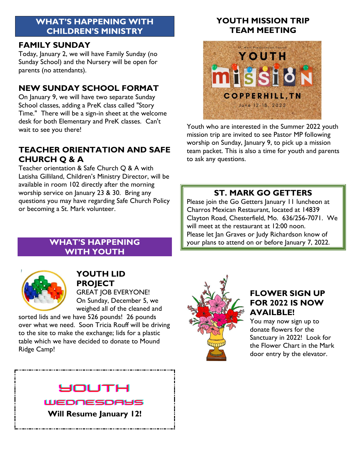### **WHAT'S HAPPENING WITH CHILDREN'S MINISTRY**

#### **FAMILY SUNDAY**

Today, January 2, we will have Family Sunday (no Sunday School) and the Nursery will be open for parents (no attendants).

### **NEW SUNDAY SCHOOL FORMAT**

On January 9, we will have two separate Sunday School classes, adding a PreK class called "Story Time." There will be a sign-in sheet at the welcome desk for both Elementary and PreK classes. Can't wait to see you there!

# **TEACHER ORIENTATION AND SAFE CHURCH Q & A**

Teacher orientation & Safe Church Q & A with Latisha Gilliland, Children's Ministry Director, will be available in room 102 directly after the morning worship service on January 23 & 30. Bring any questions you may have regarding Safe Church Policy or becoming a St. Mark volunteer.

> **WHAT'S HAPPENING WITH YOUTH**

# **YOUTH MISSION TRIP TEAM MEETING**



Youth who are interested in the Summer 2022 youth mission trip are invited to see Pastor MP following worship on Sunday, January 9, to pick up a mission team packet. This is also a time for youth and parents to ask any questions.

# **ST. MARK GO GETTERS**

Please join the Go Getters January 11 luncheon at Charros Mexican Restaurant, located at 14839 Clayton Road, Chesterfield, Mo. 636/256-7071. We will meet at the restaurant at 12:00 noon. Please let Jan Graves or Judy Richardson know of your plans to attend on or before January 7, 2022.



# **YOUTH LID PROJECT**

GREAT JOB EVERYONE! On Sunday, December 5, we weighed all of the cleaned and

sorted lids and we have 526 pounds! 26 pounds over what we need. Soon Tricia Rouff will be driving to the site to make the exchange; lids for a plastic table which we have decided to donate to Mound Ridge Camp!



## **FLOWER SIGN UP FOR 2022 IS NOW AVAILBLE!**

You may now sign up to donate flowers for the Sanctuary in 2022! Look for the Flower Chart in the Mark door entry by the elevator.

# **SOUTH**

WEDNESDAYS **Will Resume January 12!**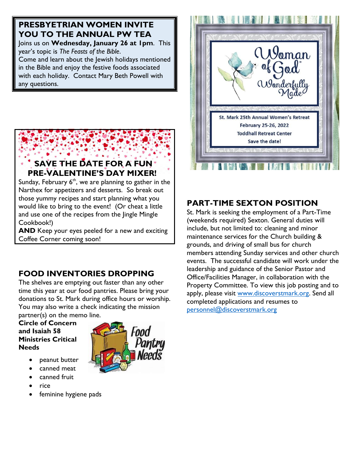# **PRESBYETRIAN WOMEN INVITE YOU TO THE ANNUAL PW TEA**

Joins us on **Wednesday, January 26 at 1pm**. This year's topic is *The Feasts of the Bible*.

Come and learn about the Jewish holidays mentioned in the Bible and enjoy the festive foods associated with each holiday. Contact Mary Beth Powell with any questions.

#### **SAVE THE DATE FOR A FUN PRE-VALENTINE'S DAY MIXER!**

Sunday, February  $6<sup>th</sup>$ , we are planning to gather in the Narthex for appetizers and desserts. So break out those yummy recipes and start planning what you would like to bring to the event! (Or cheat a little and use one of the recipes from the Jingle Mingle Cookbook!)

**AND** Keep your eyes peeled for a new and exciting Coffee Corner coming soon!

# **FOOD INVENTORIES DROPPING**

The shelves are emptying out faster than any other time this year at our food pantries. Please bring your donations to St. Mark during office hours or worship. You may also write a check indicating the mission partner(s) on the memo line.

**Circle of Concern and Isaiah 58 Ministries Critical Needs**

- peanut butter
- canned meat
- canned fruit
- rice
- feminine hygiene pads





## **PART-TIME SEXTON POSITION**

St. Mark is seeking the employment of a Part-Time (weekends required) Sexton. General duties will include, but not limited to: cleaning and minor maintenance services for the Church building & grounds, and driving of small bus for church members attending Sunday services and other church events. The successful candidate will work under the leadership and guidance of the Senior Pastor and Office/Facilities Manager, in collaboration with the Property Committee. To view this job posting and to apply, please visit [www.discoverstmark.org.](http://www.discoverstmark.org/) Send all completed applications and resumes to [personnel@discoverstmark.org](mailto:personnel@discoverstmark.org)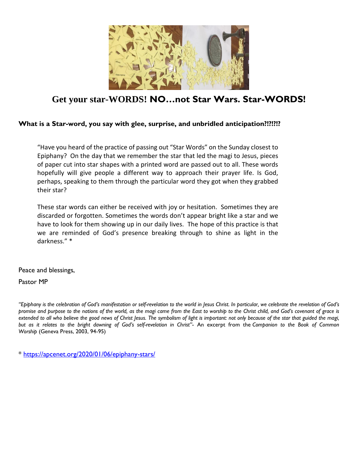

# **Get your star-WORDS! NO…not Star Wars. Star-WORDS!**

#### **What is a Star-word, you say with glee, surprise, and unbridled anticipation?!?!?!?**

"Have you heard of the practice of passing out "Star Words" on the Sunday closest to Epiphany? On the day that we remember the star that led the magi to Jesus, pieces of paper cut into star shapes with a printed word are passed out to all. These words hopefully will give people a different way to approach their prayer life. Is God, perhaps, speaking to them through the particular word they got when they grabbed their star?

These star words can either be received with joy or hesitation. Sometimes they are discarded or forgotten. Sometimes the words don't appear bright like a star and we have to look for them showing up in our daily lives. The hope of this practice is that we are reminded of God's presence breaking through to shine as light in the darkness." \*

Peace and blessings,

Pastor MP

"Epiphany is the celebration of God's manifestation or self-revelation to the world in Jesus Christ. In particular, we celebrate the revelation of God's promise and purpose to the nations of the world, as the magi came from the East to worship to the Christ child, and God's covenant of grace is extended to all who believe the good news of Christ Jesus. The symbolism of light is important: not only because of the star that guided the magi, but as it relates to the bright dawning of God's self-revelation in Christ"- An excerpt from the Companion to the Book of Common *Worship* (Geneva Press, 2003, 94-95)

\*<https://apcenet.org/2020/01/06/epiphany-stars/>